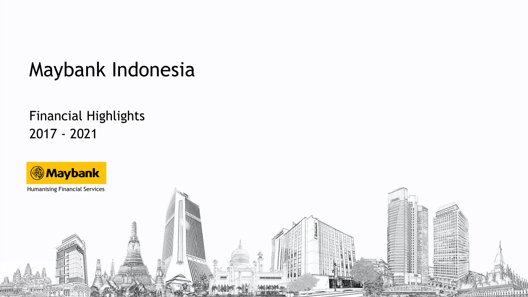# Maybank Indonesia

## Financial Highlights 2017 - 2021

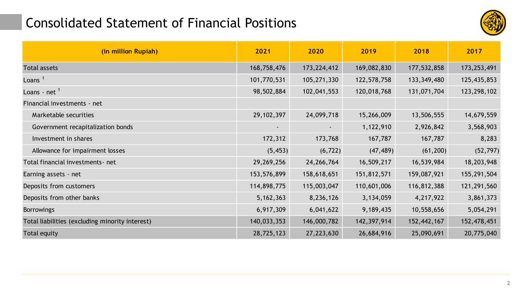#### Consolidated Statement of Financial Positions



| (in million Rupiah)                             | 2021           | 2020           | 2019        | 2018        | 2017        |
|-------------------------------------------------|----------------|----------------|-------------|-------------|-------------|
| <b>Total assets</b>                             | 168,758,476    | 173,224,412    | 169,082,830 | 177,532,858 | 173,253,491 |
| Loans $1$                                       | 101,770,531    | 105,271,330    | 122,578,758 | 133,349,480 | 125,435,853 |
| Loans - net $1$                                 | 98,502,884     | 102,041,553    | 120,018,768 | 131,071,704 | 123,298,102 |
| Financial investments - net                     |                |                |             |             |             |
| Marketable securities                           | 29, 102, 397   | 24,099,718     | 15,266,009  | 13,506,555  | 14,679,559  |
| Government recapitalization bonds               | $\blacksquare$ | $\blacksquare$ | 1,122,910   | 2,926,842   | 3,568,903   |
| Investment in shares                            | 172,312        | 173,768        | 167,787     | 167,787     | 8,283       |
| Allowance for impairment losses                 | (5, 453)       | (6, 722)       | (47, 489)   | (61, 200)   | (52, 797)   |
| Total financial investments-net                 | 29,269,256     | 24, 266, 764   | 16,509,217  | 16,539,984  | 18,203,948  |
| Earning assets - net                            | 153,576,899    | 158,618,651    | 151,812,571 | 159,087,921 | 155,291,504 |
| Deposits from customers                         | 114,898,775    | 115,003,047    | 110,601,006 | 116,812,388 | 121,291,560 |
| Deposits from other banks                       | 5, 162, 363    | 8,236,126      | 3,134,059   | 4,217,922   | 3,861,373   |
| <b>Borrowings</b>                               | 6,917,309      | 6,041,622      | 9,189,435   | 10,558,656  | 5,054,291   |
| Total liabilities (excluding minority interest) | 140,033,353    | 146,000,782    | 142,397,914 | 152,442,167 | 152,478,451 |
| Total equity                                    | 28,725,123     | 27,223,630     | 26,684,916  | 25,090,691  | 20,775,040  |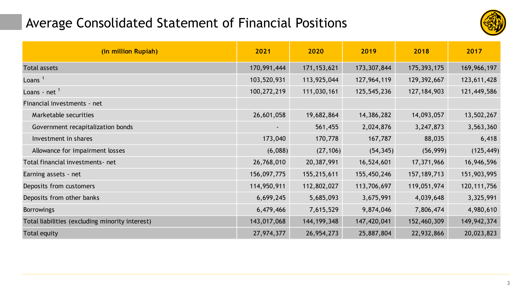### Average Consolidated Statement of Financial Positions



| (in million Rupiah)                             | 2021        | 2020          | 2019        | 2018          | 2017          |
|-------------------------------------------------|-------------|---------------|-------------|---------------|---------------|
| <b>Total assets</b>                             | 170,991,444 | 171, 153, 621 | 173,307,844 | 175,393,175   | 169,966,197   |
| Loans $1$                                       | 103,520,931 | 113,925,044   | 127,964,119 | 129,392,667   | 123,611,428   |
| Loans - net $1$                                 | 100,272,219 | 111,030,161   | 125,545,236 | 127, 184, 903 | 121,449,586   |
| Financial investments - net                     |             |               |             |               |               |
| Marketable securities                           | 26,601,058  | 19,682,864    | 14,386,282  | 14,093,057    | 13,502,267    |
| Government recapitalization bonds               | $\sim$      | 561,455       | 2,024,876   | 3,247,873     | 3,563,360     |
| Investment in shares                            | 173,040     | 170,778       | 167,787     | 88,035        | 6,418         |
| Allowance for impairment losses                 | (6,088)     | (27, 106)     | (54, 345)   | (56, 999)     | (125, 449)    |
| Total financial investments-net                 | 26,768,010  | 20,387,991    | 16,524,601  | 17,371,966    | 16,946,596    |
| Earning assets - net                            | 156,097,775 | 155,215,611   | 155,450,246 | 157, 189, 713 | 151,903,995   |
| Deposits from customers                         | 114,950,911 | 112,802,027   | 113,706,697 | 119,051,974   | 120, 111, 756 |
| Deposits from other banks                       | 6,699,245   | 5,685,093     | 3,675,991   | 4,039,648     | 3,325,991     |
| <b>Borrowings</b>                               | 6,479,466   | 7,615,529     | 9,874,046   | 7,806,474     | 4,980,610     |
| Total liabilities (excluding minority interest) | 143,017,068 | 144, 199, 348 | 147,420,041 | 152,460,309   | 149, 942, 374 |
| Total equity                                    | 27,974,377  | 26,954,273    | 25,887,804  | 22,932,866    | 20,023,823    |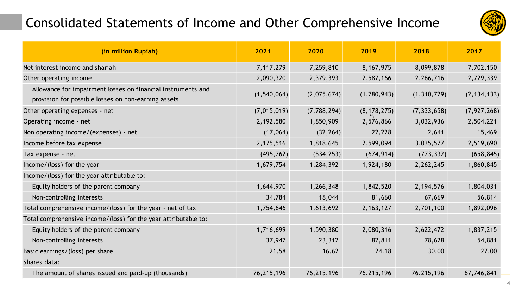## Consolidated Statements of Income and Other Comprehensive Income



| (in million Rupiah)                                                                                                 | 2021          | 2020        | 2019          | 2018          | 2017          |
|---------------------------------------------------------------------------------------------------------------------|---------------|-------------|---------------|---------------|---------------|
| Net interest income and shariah                                                                                     | 7, 117, 279   | 7,259,810   | 8, 167, 975   | 8,099,878     | 7,702,150     |
| Other operating income                                                                                              | 2,090,320     | 2,379,393   | 2,587,166     | 2,266,716     | 2,729,339     |
| Allowance for impairment losses on financial instruments and<br>provision for possible losses on non-earning assets | (1, 540, 064) | (2,075,674) | (1,780,943)   | (1,310,729)   | (2, 134, 133) |
| Other operating expenses - net                                                                                      | (7,015,019)   | (7,788,294) | (8, 178, 275) | (7, 333, 658) | (7, 927, 268) |
| Operating income - net                                                                                              | 2,192,580     | 1,850,909   | 2,576,866     | 3,032,936     | 2,504,221     |
| Non operating income/(expenses) - net                                                                               | (17,064)      | (32, 264)   | 22,228        | 2,641         | 15,469        |
| Income before tax expense                                                                                           | 2, 175, 516   | 1,818,645   | 2,599,094     | 3,035,577     | 2,519,690     |
| Tax expense - net                                                                                                   | (495, 762)    | (534, 253)  | (674, 914)    | (773, 332)    | (658, 845)    |
| Income/(loss) for the year                                                                                          | 1,679,754     | 1,284,392   | 1,924,180     | 2,262,245     | 1,860,845     |
| Income/(loss) for the year attributable to:                                                                         |               |             |               |               |               |
| Equity holders of the parent company                                                                                | 1,644,970     | 1,266,348   | 1,842,520     | 2, 194, 576   | 1,804,031     |
| Non-controlling interests                                                                                           | 34,784        | 18,044      | 81,660        | 67,669        | 56,814        |
| Total comprehensive income/(loss) for the year - net of tax                                                         | 1,754,646     | 1,613,692   | 2, 163, 127   | 2,701,100     | 1,892,096     |
| Total comprehensive income/(loss) for the year attributable to:                                                     |               |             |               |               |               |
| Equity holders of the parent company                                                                                | 1,716,699     | 1,590,380   | 2,080,316     | 2,622,472     | 1,837,215     |
| Non-controlling interests                                                                                           | 37,947        | 23,312      | 82,811        | 78,628        | 54,881        |
| Basic earnings/(loss) per share                                                                                     | 21.58         | 16.62       | 24.18         | 30.00         | 27.00         |
| Shares data:                                                                                                        |               |             |               |               |               |
| The amount of shares issued and paid-up (thousands)                                                                 | 76,215,196    | 76,215,196  | 76,215,196    | 76,215,196    | 67,746,841    |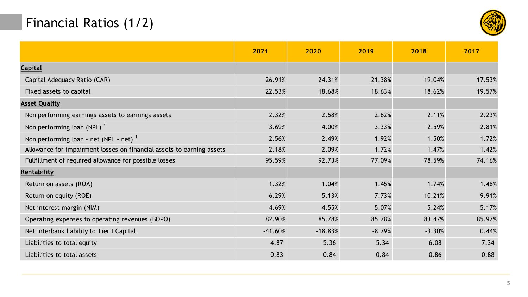## Financial Ratios (1/2)



|                                                                       | 2021      | 2020      | 2019     | 2018     | 2017   |
|-----------------------------------------------------------------------|-----------|-----------|----------|----------|--------|
| <b>Capital</b>                                                        |           |           |          |          |        |
| Capital Adequacy Ratio (CAR)                                          | 26.91%    | 24.31%    | 21.38%   | 19.04%   | 17.53% |
| Fixed assets to capital                                               | 22.53%    | 18.68%    | 18.63%   | 18.62%   | 19.57% |
| <b>Asset Quality</b>                                                  |           |           |          |          |        |
| Non performing earnings assets to earnings assets                     | 2.32%     | 2.58%     | 2.62%    | 2.11%    | 2.23%  |
| Non performing loan (NPL) $1$                                         | 3.69%     | 4.00%     | 3.33%    | 2.59%    | 2.81%  |
| Non performing loan - net (NPL - net) $1$                             | 2.56%     | 2.49%     | 1.92%    | 1.50%    | 1.72%  |
| Allowance for impairment losses on financial assets to earning assets | 2.18%     | 2.09%     | 1.72%    | 1.47%    | 1.42%  |
| Fullfillment of required allowance for possible losses                | 95.59%    | 92.73%    | 77.09%   | 78.59%   | 74.16% |
| Rentability                                                           |           |           |          |          |        |
| Return on assets (ROA)                                                | 1.32%     | 1.04%     | 1.45%    | 1.74%    | 1.48%  |
| Return on equity (ROE)                                                | 6.29%     | 5.13%     | 7.73%    | 10.21%   | 9.91%  |
| Net interest margin (NIM)                                             | 4.69%     | 4.55%     | 5.07%    | 5.24%    | 5.17%  |
| Operating expenses to operating revenues (BOPO)                       | 82.90%    | 85.78%    | 85.78%   | 83.47%   | 85.97% |
| Net interbank liability to Tier I Capital                             | $-41.60%$ | $-18.83%$ | $-8.79%$ | $-3.30%$ | 0.44%  |
| Liabilities to total equity                                           | 4.87      | 5.36      | 5.34     | 6.08     | 7.34   |
| Liabilities to total assets                                           | 0.83      | 0.84      | 0.84     | 0.86     | 0.88   |